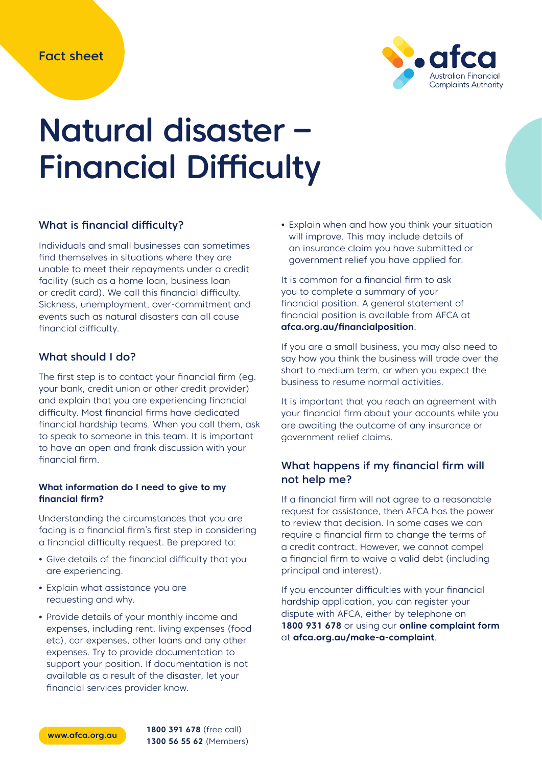

# Natural disaster – Financial Difficulty

# What is financial difficulty?

Individuals and small businesses can sometimes find themselves in situations where they are unable to meet their repayments under a credit facility (such as a home loan, business loan or credit card). We call this financial difficulty. Sickness, unemployment, over-commitment and events such as natural disasters can all cause financial difficulty.

## What should I do?

The first step is to contact your financial firm (eg. your bank, credit union or other credit provider) and explain that you are experiencing financial difficulty. Most financial firms have dedicated financial hardship teams. When you call them, ask to speak to someone in this team. It is important to have an open and frank discussion with your financial firm.

#### **What information do I need to give to my financial firm?**

Understanding the circumstances that you are facing is a financial firm's first step in considering a financial difficulty request. Be prepared to:

- **•** Give details of the financial difficulty that you are experiencing.
- **•** Explain what assistance you are requesting and why.
- **•** Provide details of your monthly income and expenses, including rent, living expenses (food etc), car expenses, other loans and any other expenses. Try to provide documentation to support your position. If documentation is not available as a result of the disaster, let your financial services provider know.

**•** Explain when and how you think your situation will improve. This may include details of an insurance claim you have submitted or government relief you have applied for.

It is common for a financial firm to ask you to complete a summary of your financial position. A general statement of financial position is available from AFCA at **afca.org.au/financialposition**.

If you are a small business, you may also need to say how you think the business will trade over the short to medium term, or when you expect the business to resume normal activities.

It is important that you reach an agreement with your financial firm about your accounts while you are awaiting the outcome of any insurance or government relief claims.

# What happens if my financial firm will not help me?

If a financial firm will not agree to a reasonable request for assistance, then AFCA has the power to review that decision. In some cases we can require a financial firm to change the terms of a credit contract. However, we cannot compel a financial firm to waive a valid debt (including principal and interest).

If you encounter difficulties with your financial hardship application, you can register your dispute with AFCA, either by telephone on **1800 931 678** or using our **online complaint form** at **afca.org.au/make-a-complaint**.



**www.afca.org.au 1800 391 678** (free call) **1300 56 55 62** (Members)